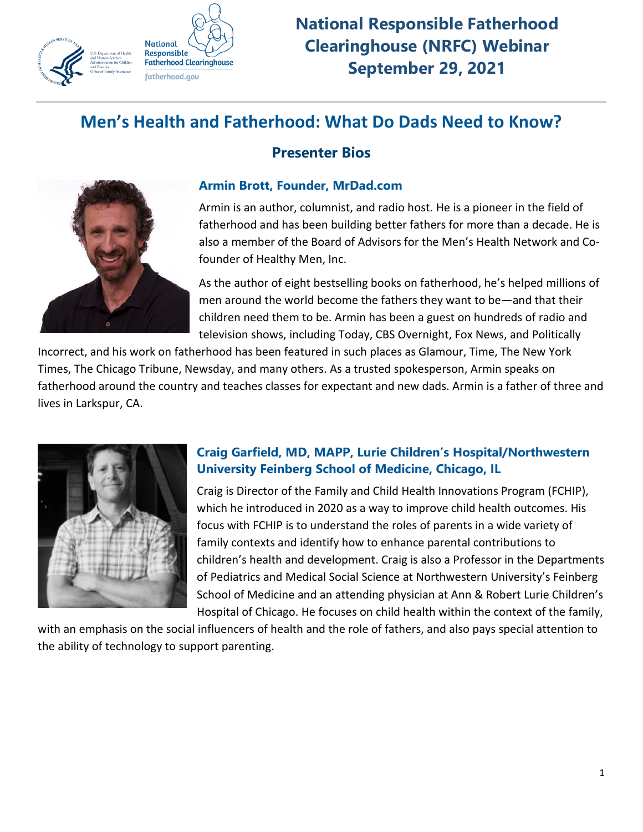

**National Responsible Fatherhood Clearinghouse (NRFC) Webinar September 29, 2021**

# **Men's Health and Fatherhood: What Do Dads Need to Know?**



# **Presenter Bios**

#### **Armin Brott, Founder, MrDad.com**

Armin is an author, columnist, and radio host. He is a pioneer in the field of fatherhood and has been building better fathers for more than a decade. He is also a member of the Board of Advisors for the Men's Health Network and Cofounder of Healthy Men, Inc.

As the author of eight bestselling books on fatherhood, he's helped millions of men around the world become the fathers they want to be—and that their children need them to be. Armin has been a guest on hundreds of radio and television shows, including Today, CBS Overnight, Fox News, and Politically

Incorrect, and his work on fatherhood has been featured in such places as Glamour, Time, The New York Times, The Chicago Tribune, Newsday, and many others. As a trusted spokesperson, Armin speaks on fatherhood around the country and teaches classes for expectant and new dads. Armin is a father of three and lives in Larkspur, CA.



### **Craig Garfield, MD, MAPP, Lurie Children's Hospital/Northwestern University Feinberg School of Medicine, Chicago, IL**

Craig is Director of the Family and Child Health Innovations Program (FCHIP), which he introduced in 2020 as a way to improve child health outcomes. His focus with FCHIP is to understand the roles of parents in a wide variety of family contexts and identify how to enhance parental contributions to children's health and development. Craig is also a Professor in the Departments of Pediatrics and Medical Social Science at Northwestern University's Feinberg School of Medicine and an attending physician at Ann & Robert Lurie Children's Hospital of Chicago. He focuses on child health within the context of the family,

with an emphasis on the social influencers of health and the role of fathers, and also pays special attention to the ability of technology to support parenting.